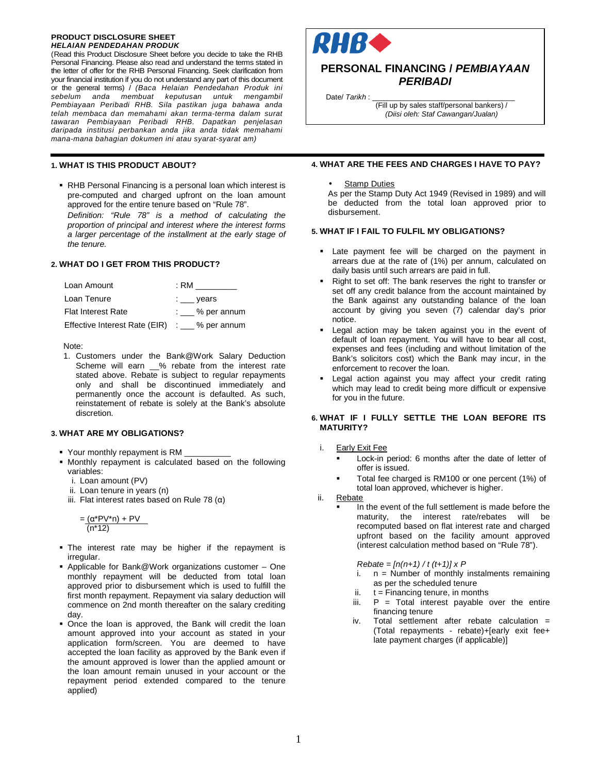#### **PRODUCT DISCLOSURE SHEET HELAIAN PENDEDAHAN PRODUK**

(Read this Product Disclosure Sheet before you decide to take the RHB Personal Financing. Please also read and understand the terms stated in the letter of offer for the RHB Personal Financing. Seek clarification from your financial institution if you do not understand any part of this document or the general terms) / (Baca Helaian Pendedahan Produk ini sebelum anda membuat keputusan untuk mengambil Pembiayaan Peribadi RHB. Sila pastikan juga bahawa anda telah membaca dan memahami akan terma-terma dalam surat tawaran Pembiayaan Peribadi RHB. Dapatkan penjelasan daripada institusi perbankan anda jika anda tidak memahami mana-mana bahagian dokumen ini atau syarat-syarat am)

# **1. WHAT IS THIS PRODUCT ABOUT?**

 RHB Personal Financing is a personal loan which interest is pre-computed and charged upfront on the loan amount approved for the entire tenure based on "Rule 78".

Definition: "Rule 78" is a method of calculating the proportion of principal and interest where the interest forms a larger percentage of the installment at the early stage of the tenure.

# **2. WHAT DO I GET FROM THIS PRODUCT?**

| Loan Amount                                        | : RM                     |
|----------------------------------------------------|--------------------------|
| Loan Tenure                                        | $\frac{1}{2}$ years      |
| <b>Flat Interest Rate</b>                          | $\therefore$ % per annum |
| Effective Interest Rate (EIR) $\ldots$ % per annum |                          |

Note:

1. Customers under the Bank@Work Salary Deduction Scheme will earn \_\_% rebate from the interest rate stated above. Rebate is subject to regular repayments only and shall be discontinued immediately and permanently once the account is defaulted. As such, reinstatement of rebate is solely at the Bank's absolute discretion.

# **3. WHAT ARE MY OBLIGATIONS?**

- Your monthly repayment is RM
- Monthly repayment is calculated based on the following variables:
	- i. Loan amount (PV)
	- ii. Loan tenure in years (n)
	- iii. Flat interest rates based on Rule 78 ( $α$ )

$$
\frac{=(\alpha^* P V^* n) + PV}{(n^* 12)}
$$

- The interest rate may be higher if the repayment is irregular.
- Applicable for Bank@Work organizations customer One monthly repayment will be deducted from total loan approved prior to disbursement which is used to fulfill the first month repayment. Repayment via salary deduction will commence on 2nd month thereafter on the salary crediting day.
- Once the loan is approved, the Bank will credit the loan amount approved into your account as stated in your application form/screen. You are deemed to have accepted the loan facility as approved by the Bank even if the amount approved is lower than the applied amount or the loan amount remain unused in your account or the repayment period extended compared to the tenure applied)



# **PERSONAL FINANCING / PEMBIAYAAN PERIBADI**

Date/ Tarikh :

(Fill up by sales staff/personal bankers) / (Diisi oleh: Staf Cawangan/Jualan)

# **4. WHAT ARE THE FEES AND CHARGES I HAVE TO PAY?**

# **Stamp Duties**

As per the Stamp Duty Act 1949 (Revised in 1989) and will be deducted from the total loan approved prior to disbursement.

### **5. WHAT IF I FAIL TO FULFIL MY OBLIGATIONS?**

- Late payment fee will be charged on the payment in arrears due at the rate of (1%) per annum, calculated on daily basis until such arrears are paid in full.
- Right to set off: The bank reserves the right to transfer or set off any credit balance from the account maintained by the Bank against any outstanding balance of the loan account by giving you seven (7) calendar day's prior notice.
- Legal action may be taken against you in the event of default of loan repayment. You will have to bear all cost, expenses and fees (including and without limitation of the Bank's solicitors cost) which the Bank may incur, in the enforcement to recover the loan.
- Legal action against you may affect your credit rating which may lead to credit being more difficult or expensive for you in the future.

# **6. WHAT IF I FULLY SETTLE THE LOAN BEFORE ITS MATURITY?**

# i. Early Exit Fee

- Lock-in period: 6 months after the date of letter of offer is issued.
- Total fee charged is RM100 or one percent (1%) of total loan approved, whichever is higher.
- ii. Rebate
	- In the event of the full settlement is made before the maturity, the interest rate/rebates will be recomputed based on flat interest rate and charged upfront based on the facility amount approved (interest calculation method based on "Rule 78").

# $Rebate = [n(n+1) / t (t+1)] x P$

- i. n = Number of monthly instalments remaining as per the scheduled tenure
- ii.  $t =$  Financing tenure, in months
- iii.  $P = Total$  interest payable over the entire financing tenure
- iv. Total settlement after rebate calculation  $=$ (Total repayments - rebate)+[early exit fee+ late payment charges (if applicable)]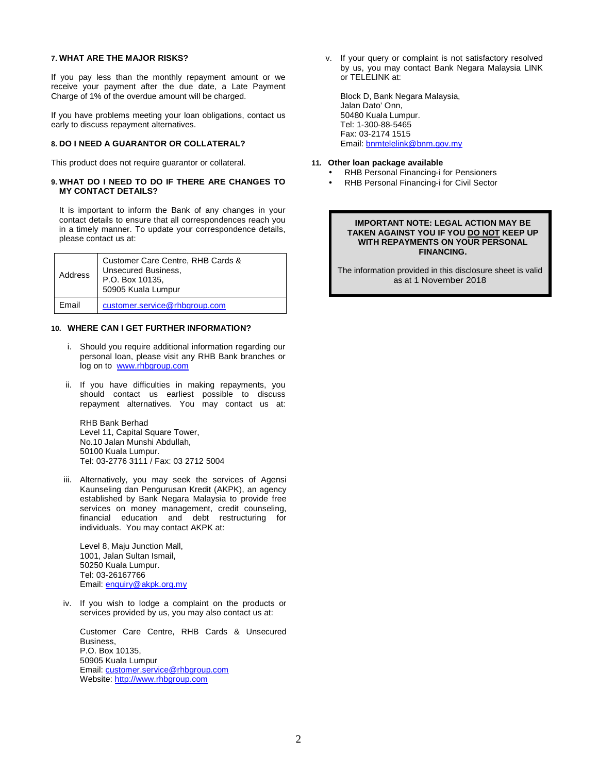### **7. WHAT ARE THE MAJOR RISKS?**

If you pay less than the monthly repayment amount or we receive your payment after the due date, a Late Payment Charge of 1% of the overdue amount will be charged.

If you have problems meeting your loan obligations, contact us early to discuss repayment alternatives.

# **8. DO I NEED A GUARANTOR OR COLLATERAL?**

This product does not require guarantor or collateral.

### **9. WHAT DO I NEED TO DO IF THERE ARE CHANGES TO MY CONTACT DETAILS?**

It is important to inform the Bank of any changes in your contact details to ensure that all correspondences reach you in a timely manner. To update your correspondence details, please contact us at:

| Address | Customer Care Centre, RHB Cards &<br><b>Unsecured Business,</b><br>P.O. Box 10135.<br>50905 Kuala Lumpur |
|---------|----------------------------------------------------------------------------------------------------------|
| Email   | customer.service@rhbgroup.com                                                                            |

# **10. WHERE CAN I GET FURTHER INFORMATION?**

- i. Should you require additional information regarding our personal loan, please visit any RHB Bank branches or log on to www.rhbgroup.com
- ii. If you have difficulties in making repayments, you should contact us earliest possible to discuss repayment alternatives. You may contact us at:

RHB Bank Berhad Level 11, Capital Square Tower, No.10 Jalan Munshi Abdullah, 50100 Kuala Lumpur. Tel: 03-2776 3111 / Fax: 03 2712 5004

iii. Alternatively, you may seek the services of Agensi Kaunseling dan Pengurusan Kredit (AKPK), an agency established by Bank Negara Malaysia to provide free services on money management, credit counseling, financial education and debt restructuring for individuals. You may contact AKPK at:

Level 8, Maju Junction Mall, 1001, Jalan Sultan Ismail, 50250 Kuala Lumpur. Tel: 03-26167766 Email: enquiry@akpk.org.my

iv. If you wish to lodge a complaint on the products or services provided by us, you may also contact us at:

Customer Care Centre, RHB Cards & Unsecured Business, P.O. Box 10135, 50905 Kuala Lumpur Email: customer.service@rhbgroup.com Website: http://www.rhbgroup.com

v. If your query or complaint is not satisfactory resolved by us, you may contact Bank Negara Malaysia LINK or TELELINK at:

Block D, Bank Negara Malaysia, Jalan Dato' Onn, 50480 Kuala Lumpur. Tel: 1-300-88-5465 Fax: 03-2174 1515 Email: bnmtelelink@bnm.gov.my

# **11. Other loan package available**

- RHB Personal Financing-i for Pensioners
- RHB Personal Financing-i for Civil Sector

### **IMPORTANT NOTE: LEGAL ACTION MAY BE TAKEN AGAINST YOU IF YOU DO NOT KEEP UP WITH REPAYMENTS ON YOUR PERSONAL FINANCING.**

The information provided in this disclosure sheet is valid as at 1 November 2018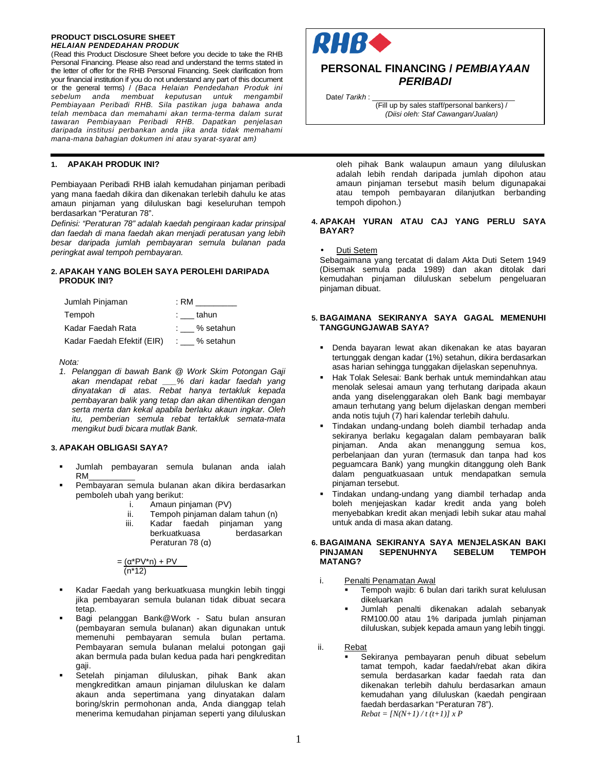#### **PRODUCT DISCLOSURE SHEET HELAIAN PENDEDAHAN PRODUK**

(Read this Product Disclosure Sheet before you decide to take the RHB Personal Financing. Please also read and understand the terms stated in the letter of offer for the RHB Personal Financing. Seek clarification from your financial institution if you do not understand any part of this document or the general terms) / (Baca Helaian Pendedahan Produk ini sebelum anda membuat keputusan untuk mengambil Pembiayaan Peribadi RHB. Sila pastikan juga bahawa anda telah membaca dan memahami akan terma-terma dalam surat tawaran Pembiayaan Peribadi RHB. Dapatkan penjelasan daripada institusi perbankan anda jika anda tidak memahami mana-mana bahagian dokumen ini atau syarat-syarat am)

# **1. APAKAH PRODUK INI?**

Pembiayaan Peribadi RHB ialah kemudahan pinjaman peribadi yang mana faedah dikira dan dikenakan terlebih dahulu ke atas amaun pinjaman yang diluluskan bagi keseluruhan tempoh berdasarkan "Peraturan 78".

Definisi: "Peraturan 78" adalah kaedah pengiraan kadar prinsipal dan faedah di mana faedah akan menjadi peratusan yang lebih besar daripada jumlah pembayaran semula bulanan pada peringkat awal tempoh pembayaran.

# **2. APAKAH YANG BOLEH SAYA PEROLEHI DARIPADA PRODUK INI?**

| Jumlah Pinjaman            | : RM        |
|----------------------------|-------------|
| Tempoh                     | : tahun     |
| Kadar Faedah Rata          | : % setahun |
| Kadar Faedah Efektif (EIR) | : % setahun |

Nota:

1. Pelanggan di bawah Bank @ Work Skim Potongan Gaji akan mendapat rebat \_\_\_% dari kadar faedah yang dinyatakan di atas. Rebat hanya tertakluk kepada pembayaran balik yang tetap dan akan dihentikan dengan serta merta dan kekal apabila berlaku akaun ingkar. Oleh itu, pemberian semula rebat tertakluk semata-mata mengikut budi bicara mutlak Bank.

### **3. APAKAH OBLIGASI SAYA?**

- Jumlah pembayaran semula bulanan anda ialah RM\_\_\_\_\_\_\_\_\_\_
- Pembayaran semula bulanan akan dikira berdasarkan pemboleh ubah yang berikut:
	- i. Amaun pinjaman (PV)
	- ii. Tempoh pinjaman dalam tahun (n)
	- iii. Kadar faedah pinjaman yang berkuatkuasa berdasarkan Peraturan 78 (α)

$$
=\frac{(\alpha^*PV^*n)+PV}{(n^*12)}
$$

- Kadar Faedah yang berkuatkuasa mungkin lebih tinggi jika pembayaran semula bulanan tidak dibuat secara tetap.
- Bagi pelanggan Bank@Work Satu bulan ansuran (pembayaran semula bulanan) akan digunakan untuk memenuhi pembayaran semula bulan pertama. Pembayaran semula bulanan melalui potongan gaji akan bermula pada bulan kedua pada hari pengkreditan gaji.
- Setelah pinjaman diluluskan, pihak Bank akan mengkreditkan amaun pinjaman diluluskan ke dalam akaun anda sepertimana yang dinyatakan dalam boring/skrin permohonan anda, Anda dianggap telah menerima kemudahan pinjaman seperti yang diluluskan



# **PERSONAL FINANCING / PEMBIAYAAN PERIBADI**

Date/ Tarikh :\_

(Fill up by sales staff/personal bankers) / (Diisi oleh: Staf Cawangan/Jualan)

oleh pihak Bank walaupun amaun yang diluluskan adalah lebih rendah daripada jumlah dipohon atau amaun pinjaman tersebut masih belum digunapakai atau tempoh pembayaran dilanjutkan berbanding tempoh dipohon.)

# **4. APAKAH YURAN ATAU CAJ YANG PERLU SAYA BAYAR?**

# Duti Setem

Sebagaimana yang tercatat di dalam Akta Duti Setem 1949 (Disemak semula pada 1989) dan akan ditolak dari kemudahan pinjaman diluluskan sebelum pengeluaran pinjaman dibuat.

# **5. BAGAIMANA SEKIRANYA SAYA GAGAL MEMENUHI TANGGUNGJAWAB SAYA?**

- Denda bayaran lewat akan dikenakan ke atas bayaran tertunggak dengan kadar (1%) setahun, dikira berdasarkan asas harian sehingga tunggakan dijelaskan sepenuhnya.
- Hak Tolak Selesai: Bank berhak untuk memindahkan atau menolak selesai amaun yang terhutang daripada akaun anda yang diselenggarakan oleh Bank bagi membayar amaun terhutang yang belum dijelaskan dengan memberi anda notis tujuh (7) hari kalendar terlebih dahulu.
- Tindakan undang-undang boleh diambil terhadap anda sekiranya berlaku kegagalan dalam pembayaran balik pinjaman. Anda akan menanggung semua kos, perbelanjaan dan yuran (termasuk dan tanpa had kos peguamcara Bank) yang mungkin ditanggung oleh Bank dalam penguatkuasaan untuk mendapatkan semula pinjaman tersebut.
- Tindakan undang-undang yang diambil terhadap anda boleh menjejaskan kadar kredit anda yang boleh menyebabkan kredit akan menjadi lebih sukar atau mahal untuk anda di masa akan datang.

### **6. BAGAIMANA SEKIRANYA SAYA MENJELASKAN BAKI SEPENUHNYA MATANG?**

- i. Penalti Penamatan Awal
	- Tempoh wajib: 6 bulan dari tarikh surat kelulusan dikeluarkan
	- Jumlah penalti dikenakan adalah sebanyak RM100.00 atau 1% daripada jumlah pinjaman diluluskan, subjek kepada amaun yang lebih tinggi.
- ii. Rebat
	- Sekiranya pembayaran penuh dibuat sebelum tamat tempoh, kadar faedah/rebat akan dikira semula berdasarkan kadar faedah rata dan dikenakan terlebih dahulu berdasarkan amaun kemudahan yang diluluskan (kaedah pengiraan faedah berdasarkan "Peraturan 78"). *Rebat = [N(N+1) / t (t+1)] x P*